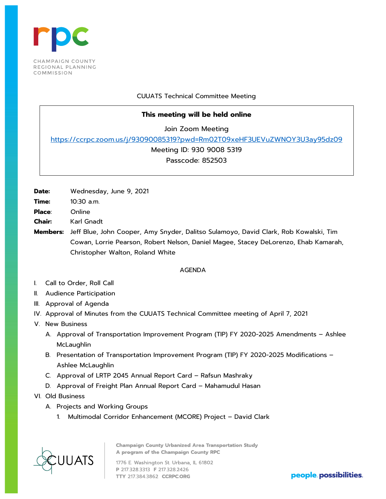

# CUUATS Technical Committee Meeting

# **This meeting will be held online**

Join Zoom Meeting

<https://ccrpc.zoom.us/j/93090085319?pwd=Rm02T09xeHF3UEVuZWNOY3U3ay95dz09>

Meeting ID: 930 9008 5319

Passcode: 852503

**Date:** Wednesday, June 9, 2021

- **Time:** 10:30 a.m.
- **Place**: Online
- **Chair:** Karl Gnadt

**Members:** Jeff Blue, John Cooper, Amy Snyder, Dalitso Sulamoyo, David Clark, Rob Kowalski, Tim Cowan, Lorrie Pearson, Robert Nelson, Daniel Magee, Stacey DeLorenzo, Ehab Kamarah, Christopher Walton, Roland White

# AGENDA

- I. Call to Order, Roll Call
- II. Audience Participation
- III. Approval of Agenda
- IV. Approval of Minutes from the CUUATS Technical Committee meeting of April 7, 2021
- V. New Business
	- A. Approval of Transportation Improvement Program (TIP) FY 2020-2025 Amendments Ashlee McLaughlin
	- B. Presentation of Transportation Improvement Program (TIP) FY 2020-2025 Modifications Ashlee McLaughlin
	- C. Approval of LRTP 2045 Annual Report Card Rafsun Mashraky
	- D. Approval of Freight Plan Annual Report Card Mahamudul Hasan
- VI. Old Business
	- A. Projects and Working Groups
		- 1. Multimodal Corridor Enhancement (MCORE) Project David Clark

**Champaign County Urbanized Area Transportation Study** A program of the Champaign County RPC UUATS 1776 E. Washington St. Urbana, IL 61802

P 217.328.3313 F 217.328.2426 TTY 217.384.3862 CCRPC.ORG

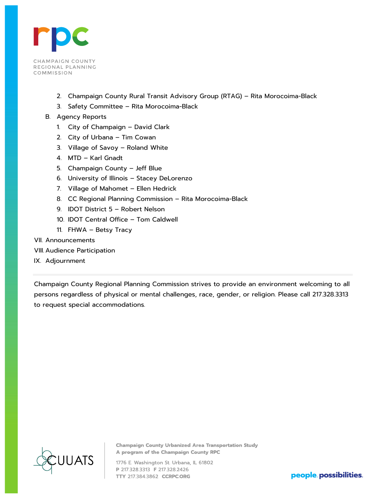

- 2. Champaign County Rural Transit Advisory Group (RTAG) Rita Morocoima-Black
- 3. Safety Committee Rita Morocoima-Black
- B. Agency Reports
	- 1. City of Champaign David Clark
	- 2. City of Urbana Tim Cowan
	- 3. Village of Savoy Roland White
	- 4. MTD Karl Gnadt
	- 5. Champaign County Jeff Blue
	- 6. University of Illinois Stacey DeLorenzo
	- 7. Village of Mahomet Ellen Hedrick
	- 8. CC Regional Planning Commission Rita Morocoima-Black
	- 9. IDOT District 5 Robert Nelson
	- 10. IDOT Central Office Tom Caldwell
	- 11. FHWA Betsy Tracy
- VII. Announcements
- VIII. Audience Participation
- IX. Adjournment

Champaign County Regional Planning Commission strives to provide an environment welcoming to all persons regardless of physical or mental challenges, race, gender, or religion. Please call 217.328.3313 to request special accommodations.



**Champaign County Urbanized Area Transportation Study** A program of the Champaign County RPC

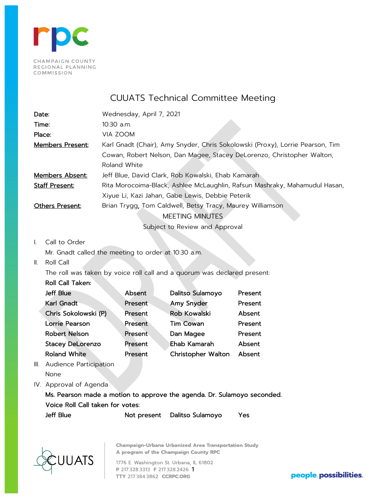

CUUATS Technical Committee Meeting

| Date:                   | Wednesday, April 7, 2021                                                      |
|-------------------------|-------------------------------------------------------------------------------|
| Time:                   | $10:30$ a.m.                                                                  |
| Place:                  | VIA ZOOM                                                                      |
| <b>Members Present:</b> | Karl Gnadt (Chair), Amy Snyder, Chris Sokolowski (Proxy), Lorrie Pearson, Tim |
|                         | Cowan, Robert Nelson, Dan Magee, Stacey DeLorenzo, Christopher Walton,        |
|                         | Roland White                                                                  |
| Members Absent:         | Jeff Blue, David Clark, Rob Kowalski, Ehab Kamarah                            |
| <b>Staff Present:</b>   | Rita Morocoima-Black, Ashlee McLaughlin, Rafsun Mashraky, Mahamudul Hasan,    |
|                         | Xiyue Li, Kazi Jahan, Gabe Lewis, Debbie Peterik                              |
| Others Present:         | Brian Trygg, Tom Caldwell, Betsy Tracy, Maurey Williamson                     |
|                         | <b>MEETING MINUTES</b>                                                        |
|                         | Subject to Review and Approval                                                |
|                         |                                                                               |

# I. Call to Order

Mr. Gnadt called the meeting to order at 10:30 a.m.

II. Roll Call

The roll was taken by voice roll call and a quorum was declared present:

#### Roll Call Taken:

| Jeff Blue               | Absent  | Dalitso Sulamoyo    | Present |
|-------------------------|---------|---------------------|---------|
| Karl Gnadt              | Present | Amy Snyder          | Present |
| Chris Sokolowski (P)    | Present | <b>Rob Kowalski</b> | Absent  |
| <b>Lorrie Pearson</b>   | Present | <b>Tim Cowan</b>    | Present |
| <b>Robert Nelson</b>    | Present | Dan Magee           | Present |
| <b>Stacey DeLorenzo</b> | Present | Ehab Kamarah        | Absent  |
| <b>Roland White</b>     | Present | Christopher Walton  | Absent  |

III. Audience Participation

None

IV. Approval of Agenda

Ms. Pearson made a motion to approve the agenda. Dr. Sulamoyo seconded. Voice Roll Call taken for votes: Jeff Blue **Not present** Dalitso Sulamoyo Yes



**Champaign-Urbana Urbanized Area Transportation Study** A program of the Champaign County RPC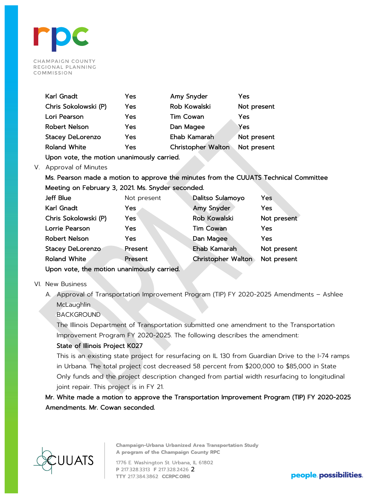

| Karl Gnadt              | Yes | Amy Snyder                | Yes         |
|-------------------------|-----|---------------------------|-------------|
| Chris Sokolowski (P)    | Yes | Rob Kowalski              | Not present |
| Lori Pearson            | Yes | <b>Tim Cowan</b>          | Yes         |
| <b>Robert Nelson</b>    | Yes | Dan Magee                 | Yes         |
| <b>Stacey DeLorenzo</b> | Yes | Ehab Kamarah              | Not present |
| <b>Roland White</b>     | Yes | <b>Christopher Walton</b> | Not present |

Upon vote, the motion unanimously carried.

## V. Approval of Minutes

Ms. Pearson made a motion to approve the minutes from the CUUATS Technical Committee Meeting on February 3, 2021. Ms. Snyder seconded.

| Jeff Blue                                  | Not present | Dalitso Sulamoyo          | Yes         |  |  |  |  |  |  |
|--------------------------------------------|-------------|---------------------------|-------------|--|--|--|--|--|--|
| <b>Karl Gnadt</b>                          | Yes.        | Amy Snyder                | Yes         |  |  |  |  |  |  |
| Chris Sokolowski (P)                       | Yes         | <b>Rob Kowalski</b>       | Not present |  |  |  |  |  |  |
| Lorrie Pearson                             | Yes         | <b>Tim Cowan</b>          | Yes         |  |  |  |  |  |  |
| <b>Robert Nelson</b>                       | <b>Yes</b>  | Dan Magee                 | Yes         |  |  |  |  |  |  |
| <b>Stacey DeLorenzo</b>                    | Present     | Ehab Kamarah              | Not present |  |  |  |  |  |  |
| <b>Roland White</b>                        | Present     | <b>Christopher Walton</b> | Not present |  |  |  |  |  |  |
| Upon vote, the motion unanimously carried. |             |                           |             |  |  |  |  |  |  |

#### VI. New Business

A. Approval of Transportation Improvement Program (TIP) FY 2020-2025 Amendments – Ashlee **McLaughlin** 

**BACKGROUND** 

The Illinois Department of Transportation submitted one amendment to the Transportation Improvement Program FY 2020-2025. The following describes the amendment:

## State of Illinois Project K027

This is an existing state project for resurfacing on IL 130 from Guardian Drive to the I-74 ramps in Urbana. The total project cost decreased 58 percent from \$200,000 to \$85,000 in State Only funds and the project description changed from partial width resurfacing to longitudinal joint repair. This project is in FY 21.

Mr. White made a motion to approve the Transportation Improvement Program (TIP) FY 2020-2025 Amendments. Mr. Cowan seconded.



**Champaign-Urbana Urbanized Area Transportation Study** A program of the Champaign County RPC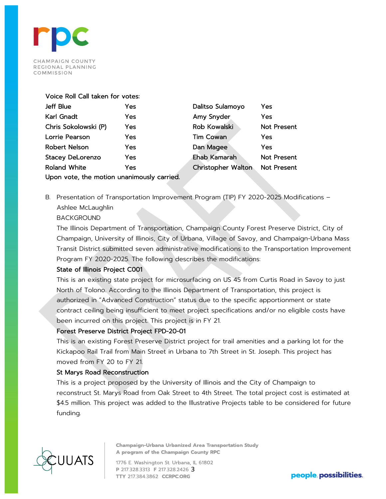

#### Voice Roll Call taken for votes:

| <b>Jeff Blue</b>                           | Yes        | Dalitso Sulamoyo          | Yes                |  |  |  |  |  |
|--------------------------------------------|------------|---------------------------|--------------------|--|--|--|--|--|
| Karl Gnadt                                 | Yes        | Amy Snyder                | Yes                |  |  |  |  |  |
| Chris Sokolowski (P)                       | Yes        | <b>Rob Kowalski</b>       | <b>Not Present</b> |  |  |  |  |  |
| Lorrie Pearson                             | <b>Yes</b> | <b>Tim Cowan</b>          | Yes                |  |  |  |  |  |
| <b>Robert Nelson</b>                       | Yes        | Dan Magee                 | Yes                |  |  |  |  |  |
| <b>Stacey DeLorenzo</b>                    | <b>Yes</b> | <b>Ehab Kamarah</b>       | Not Present        |  |  |  |  |  |
| <b>Roland White</b>                        | Yes        | <b>Christopher Walton</b> | <b>Not Present</b> |  |  |  |  |  |
| Upon vote, the motion unanimously carried. |            |                           |                    |  |  |  |  |  |

B. Presentation of Transportation Improvement Program (TIP) FY 2020-2025 Modifications – Ashlee McLaughlin

## BACKGROUND

The Illinois Department of Transportation, Champaign County Forest Preserve District, City of Champaign, University of Illinois, City of Urbana, Village of Savoy, and Champaign-Urbana Mass Transit District submitted seven administrative modifications to the Transportation Improvement Program FY 2020-2025. The following describes the modifications:

#### State of Illinois Project C001

This is an existing state project for microsurfacing on US 45 from Curtis Road in Savoy to just North of Tolono. According to the Illinois Department of Transportation, this project is authorized in "Advanced Construction" status due to the specific apportionment or state contract ceiling being insufficient to meet project specifications and/or no eligible costs have been incurred on this project. This project is in FY 21.

# Forest Preserve District Project FPD-20-01

This is an existing Forest Preserve District project for trail amenities and a parking lot for the Kickapoo Rail Trail from Main Street in Urbana to 7th Street in St. Joseph. This project has moved from FY 20 to FY 21.

#### St Marys Road Reconstruction

This is a project proposed by the University of Illinois and the City of Champaign to reconstruct St. Marys Road from Oak Street to 4th Street. The total project cost is estimated at \$4.5 million. This project was added to the Illustrative Projects table to be considered for future funding.



**Champaign-Urbana Urbanized Area Transportation Study** A program of the Champaign County RPC

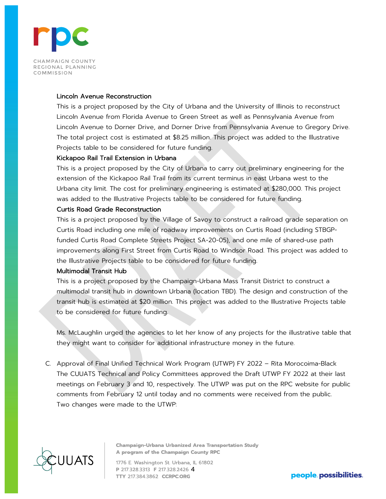

#### Lincoln Avenue Reconstruction

This is a project proposed by the City of Urbana and the University of Illinois to reconstruct Lincoln Avenue from Florida Avenue to Green Street as well as Pennsylvania Avenue from Lincoln Avenue to Dorner Drive, and Dorner Drive from Pennsylvania Avenue to Gregory Drive. The total project cost is estimated at \$8.25 million. This project was added to the Illustrative Projects table to be considered for future funding.

### Kickapoo Rail Trail Extension in Urbana

This is a project proposed by the City of Urbana to carry out preliminary engineering for the extension of the Kickapoo Rail Trail from its current terminus in east Urbana west to the Urbana city limit. The cost for preliminary engineering is estimated at \$280,000. This project was added to the Illustrative Projects table to be considered for future funding.

# Curtis Road Grade Reconstruction

This is a project proposed by the Village of Savoy to construct a railroad grade separation on Curtis Road including one mile of roadway improvements on Curtis Road (including STBGPfunded Curtis Road Complete Streets Project SA-20-05), and one mile of shared-use path improvements along First Street from Curtis Road to Windsor Road. This project was added to the Illustrative Projects table to be considered for future funding.

# Multimodal Transit Hub

This is a project proposed by the Champaign-Urbana Mass Transit District to construct a multimodal transit hub in downtown Urbana (location TBD). The design and construction of the transit hub is estimated at \$20 million. This project was added to the Illustrative Projects table to be considered for future funding.

Ms. McLaughlin urged the agencies to let her know of any projects for the illustrative table that they might want to consider for additional infrastructure money in the future.

C. Approval of Final Unified Technical Work Program (UTWP) FY 2022 – Rita Morocoima-Black The CUUATS Technical and Policy Committees approved the Draft UTWP FY 2022 at their last meetings on February 3 and 10, respectively. The UTWP was put on the RPC website for public comments from February 12 until today and no comments were received from the public. Two changes were made to the UTWP:



**Champaign-Urbana Urbanized Area Transportation Study** A program of the Champaign County RPC

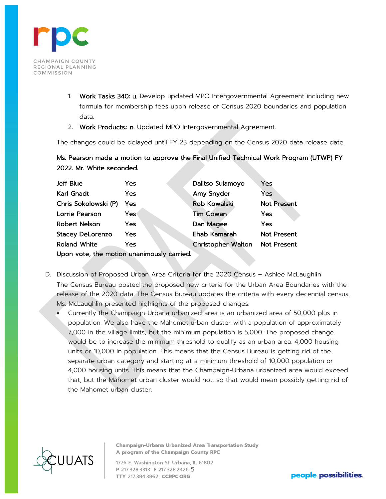

- 1. Work Tasks 340: u. Develop updated MPO Intergovernmental Agreement including new formula for membership fees upon release of Census 2020 boundaries and population data.
- 2. Work Products.: n. Updated MPO Intergovernmental Agreement.

The changes could be delayed until FY 23 depending on the Census 2020 data release date.

Ms. Pearson made a motion to approve the Final Unified Technical Work Program (UTWP) FY 2022. Mr. White seconded.

| Jeff Blue                                  | Yes | Dalitso Sulamoyo    | Yes                |  |  |  |  |  |  |
|--------------------------------------------|-----|---------------------|--------------------|--|--|--|--|--|--|
| Karl Gnadt                                 | Yes | Amy Snyder          | Yes                |  |  |  |  |  |  |
| Chris Sokolowski (P)                       | Yes | <b>Rob Kowalski</b> | <b>Not Present</b> |  |  |  |  |  |  |
| Lorrie Pearson                             | Yes | <b>Tim Cowan</b>    | Yes                |  |  |  |  |  |  |
| Robert Nelson                              | Yes | Dan Magee           | Yes                |  |  |  |  |  |  |
| <b>Stacey DeLorenzo</b>                    | Yes | Ehab Kamarah        | <b>Not Present</b> |  |  |  |  |  |  |
| <b>Roland White</b>                        | Yes | Christopher Walton  | Not Present        |  |  |  |  |  |  |
| Upon vote, the motion unanimously carried. |     |                     |                    |  |  |  |  |  |  |

- D. Discussion of Proposed Urban Area Criteria for the 2020 Census Ashlee McLaughlin The Census Bureau posted the proposed new criteria for the Urban Area Boundaries with the release of the 2020 data. The Census Bureau updates the criteria with every decennial census. Ms. McLaughlin presented highlights of the proposed changes.
	- Currently the Champaign-Urbana urbanized area is an urbanized area of 50,000 plus in population. We also have the Mahomet urban cluster with a population of approximately 7,000 in the village limits, but the minimum population is 5,000. The proposed change would be to increase the minimum threshold to qualify as an urban area: 4,000 housing units or 10,000 in population. This means that the Census Bureau is getting rid of the separate urban category and starting at a minimum threshold of 10,000 population or 4,000 housing units. This means that the Champaign-Urbana urbanized area would exceed that, but the Mahomet urban cluster would not, so that would mean possibly getting rid of the Mahomet urban cluster.



**Champaign-Urbana Urbanized Area Transportation Study** A program of the Champaign County RPC

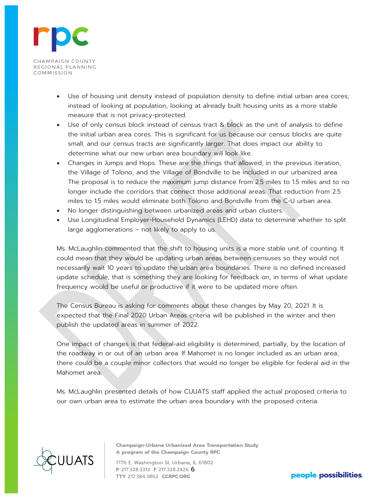

- Use of housing unit density instead of population density to define initial urban area cores; instead of looking at population, looking at already built housing units as a more stable measure that is not privacy-protected.
- Use of only census block instead of census tract & block as the unit of analysis to define the initial urban area cores. This is significant for us because our census blocks are quite small, and our census tracts are significantly larger. That does impact our ability to determine what our new urban area boundary will look like.
- Changes in Jumps and Hops. These are the things that allowed, in the previous iteration, the Village of Tolono, and the Village of Bondville to be included in our urbanized area. The proposal is to reduce the maximum jump distance from 2.5 miles to 1.5 miles and to no longer include the corridors that connect those additional areas. That reduction from 2.5 miles to 1.5 miles would eliminate both Tolono and Bondville from the C-U urban area.
- No longer distinguishing between urbanized areas and urban clusters.
- Use Longitudinal Employer-Household Dynamics (LEHD) data to determine whether to split large agglomerations – not likely to apply to us.

Ms. McLaughlin commented that the shift to housing units is a more stable unit of counting. It could mean that they would be updating urban areas between censuses so they would not necessarily wait 10 years to update the urban area boundaries. There is no defined increased update schedule, that is something they are looking for feedback on, in terms of what update frequency would be useful or productive if it were to be updated more often.

The Census Bureau is asking for comments about these changes by May 20, 2021. It is expected that the Final 2020 Urban Areas criteria will be published in the winter and then publish the updated areas in summer of 2022.

One impact of changes is that federal-aid eligibility is determined, partially, by the location of the roadway in or out of an urban area. If Mahomet is no longer included as an urban area, there could be a couple minor collectors that would no longer be eligible for federal aid in the Mahomet area.

Ms. McLaughlin presented details of how CUUATS staff applied the actual proposed criteria to our own urban area to estimate the urban area boundary with the proposed criteria.



**Champaign-Urbana Urbanized Area Transportation Study** A program of the Champaign County RPC

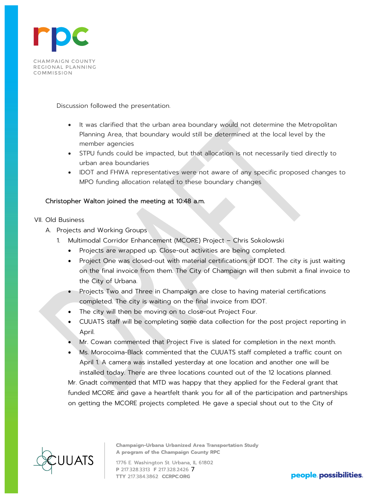

Discussion followed the presentation.

- It was clarified that the urban area boundary would not determine the Metropolitan Planning Area, that boundary would still be determined at the local level by the member agencies
- STPU funds could be impacted, but that allocation is not necessarily tied directly to urban area boundaries
- IDOT and FHWA representatives were not aware of any specific proposed changes to MPO funding allocation related to these boundary changes

# Christopher Walton joined the meeting at 10:48 a.m.

## VII. Old Business

- A. Projects and Working Groups
	- 1. Multimodal Corridor Enhancement (MCORE) Project Chris Sokolowski
		- Projects are wrapped up. Close-out activities are being completed.
		- Project One was closed-out with material certifications of IDOT. The city is just waiting on the final invoice from them. The City of Champaign will then submit a final invoice to the City of Urbana.
		- Projects Two and Three in Champaign are close to having material certifications completed. The city is waiting on the final invoice from IDOT.
		- The city will then be moving on to close-out Project Four.
		- CUUATS staff will be completing some data collection for the post project reporting in April.
		- Mr. Cowan commented that Project Five is slated for completion in the next month.
		- Ms. Morocoima-Black commented that the CUUATS staff completed a traffic count on April 1. A camera was installed yesterday at one location and another one will be installed today. There are three locations counted out of the 12 locations planned.

Mr. Gnadt commented that MTD was happy that they applied for the Federal grant that funded MCORE and gave a heartfelt thank you for all of the participation and partnerships on getting the MCORE projects completed. He gave a special shout out to the City of



**Champaign-Urbana Urbanized Area Transportation Study** A program of the Champaign County RPC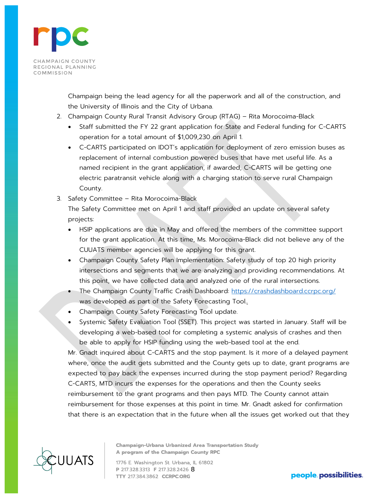

Champaign being the lead agency for all the paperwork and all of the construction, and the University of Illinois and the City of Urbana.

- 2. Champaign County Rural Transit Advisory Group (RTAG) Rita Morocoima-Black
	- Staff submitted the FY 22 grant application for State and Federal funding for C-CARTS operation for a total amount of \$1,009,230 on April 1.
	- C-CARTS participated on IDOT's application for deployment of zero emission buses as replacement of internal combustion powered buses that have met useful life. As a named recipient in the grant application, if awarded, C-CARTS will be getting one electric paratransit vehicle along with a charging station to serve rural Champaign County.
- 3. Safety Committee Rita Morocoima-Black

The Safety Committee met on April 1 and staff provided an update on several safety projects:

- HSIP applications are due in May and offered the members of the committee support for the grant application. At this time, Ms. Morocoima-Black did not believe any of the CUUATS member agencies will be applying for this grant.
- Champaign County Safety Plan Implementation: Safety study of top 20 high priority intersections and segments that we are analyzing and providing recommendations. At this point, we have collected data and analyzed one of the rural intersections.
- The Champaign County Traffic Crash Dashboard: https://crashdashboard.ccrpc.org/ was developed as part of the Safety Forecasting Tool.
- Champaign County Safety Forecasting Tool update.
- Systemic Safety Evaluation Tool (SSET). This project was started in January. Staff will be developing a web-based tool for completing a systemic analysis of crashes and then be able to apply for HSIP funding using the web-based tool at the end.

Mr. Gnadt inquired about C-CARTS and the stop payment. Is it more of a delayed payment where, once the audit gets submitted and the County gets up to date, grant programs are expected to pay back the expenses incurred during the stop payment period? Regarding C-CARTS, MTD incurs the expenses for the operations and then the County seeks reimbursement to the grant programs and then pays MTD. The County cannot attain reimbursement for those expenses at this point in time. Mr. Gnadt asked for confirmation that there is an expectation that in the future when all the issues get worked out that they



**Champaign-Urbana Urbanized Area Transportation Study** A program of the Champaign County RPC

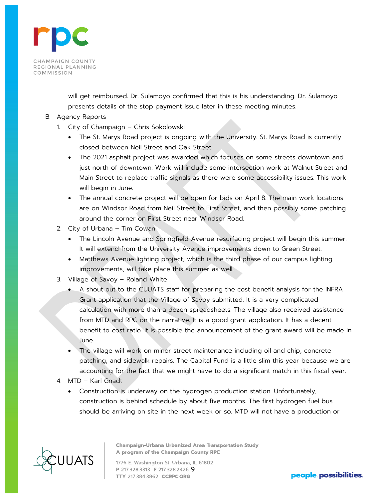

will get reimbursed. Dr. Sulamoyo confirmed that this is his understanding. Dr. Sulamoyo presents details of the stop payment issue later in these meeting minutes.

## B. Agency Reports

- 1. City of Champaign Chris Sokolowski
	- The St. Marys Road project is ongoing with the University. St. Marys Road is currently closed between Neil Street and Oak Street.
	- The 2021 asphalt project was awarded which focuses on some streets downtown and just north of downtown. Work will include some intersection work at Walnut Street and Main Street to replace traffic signals as there were some accessibility issues. This work will begin in June.
	- The annual concrete project will be open for bids on April 8. The main work locations are on Windsor Road from Neil Street to First Street, and then possibly some patching around the corner on First Street near Windsor Road.
- 2. City of Urbana Tim Cowan
	- The Lincoln Avenue and Springfield Avenue resurfacing project will begin this summer. It will extend from the University Avenue improvements down to Green Street.
	- Matthews Avenue lighting project, which is the third phase of our campus lighting improvements, will take place this summer as well.
- 3. Village of Savoy Roland White
	- A shout out to the CUUATS staff for preparing the cost benefit analysis for the INFRA Grant application that the Village of Savoy submitted. It is a very complicated calculation with more than a dozen spreadsheets. The village also received assistance from MTD and RPC on the narrative. It is a good grant application. It has a decent benefit to cost ratio. It is possible the announcement of the grant award will be made in June.
	- The village will work on minor street maintenance including oil and chip, concrete patching, and sidewalk repairs. The Capital Fund is a little slim this year because we are accounting for the fact that we might have to do a significant match in this fiscal year.
- 4. MTD Karl Gnadt
	- Construction is underway on the hydrogen production station. Unfortunately, construction is behind schedule by about five months. The first hydrogen fuel bus should be arriving on site in the next week or so. MTD will not have a production or



**Champaign-Urbana Urbanized Area Transportation Study** A program of the Champaign County RPC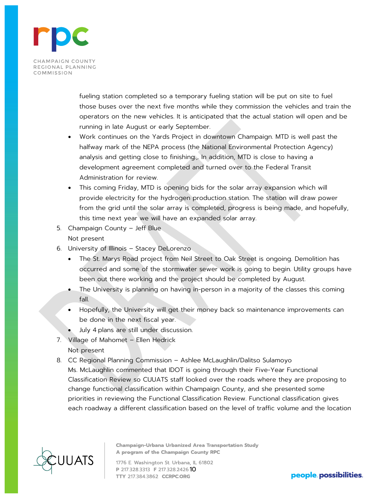

fueling station completed so a temporary fueling station will be put on site to fuel those buses over the next five months while they commission the vehicles and train the operators on the new vehicles. It is anticipated that the actual station will open and be running in late August or early September.

- Work continues on the Yards Project in downtown Champaign. MTD is well past the halfway mark of the NEPA process (the National Environmental Protection Agency) analysis and getting close to finishing., In addition, MTD is close to having a development agreement completed and turned over to the Federal Transit Administration for review.
- This coming Friday, MTD is opening bids for the solar array expansion which will provide electricity for the hydrogen production station. The station will draw power from the grid until the solar array is completed, progress is being made, and hopefully, this time next year we will have an expanded solar array.
- 5. Champaign County Jeff Blue Not present
- 6. University of Illinois Stacey DeLorenzo
	- The St. Marys Road project from Neil Street to Oak Street is ongoing. Demolition has occurred and some of the stormwater sewer work is going to begin. Utility groups have been out there working and the project should be completed by August.
	- The University is planning on having in-person in a majority of the classes this coming fall.
	- Hopefully, the University will get their money back so maintenance improvements can be done in the next fiscal year.
	- July 4 plans are still under discussion.
- 7. Village of Mahomet Ellen Hedrick Not present
- 8. CC Regional Planning Commission Ashlee McLaughlin/Dalitso Sulamoyo Ms. McLaughlin commented that IDOT is going through their Five-Year Functional Classification Review so CUUATS staff looked over the roads where they are proposing to change functional classification within Champaign County, and she presented some priorities in reviewing the Functional Classification Review. Functional classification gives each roadway a different classification based on the level of traffic volume and the location



**Champaign-Urbana Urbanized Area Transportation Study** A program of the Champaign County RPC

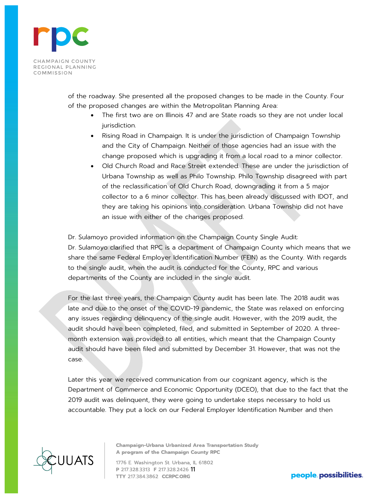

of the roadway. She presented all the proposed changes to be made in the County. Four of the proposed changes are within the Metropolitan Planning Area:

- The first two are on Illinois 47 and are State roads so they are not under local jurisdiction.
- Rising Road in Champaign. It is under the jurisdiction of Champaign Township and the City of Champaign. Neither of those agencies had an issue with the change proposed which is upgrading it from a local road to a minor collector.
- Old Church Road and Race Street extended. These are under the jurisdiction of Urbana Township as well as Philo Township. Philo Township disagreed with part of the reclassification of Old Church Road, downgrading it from a 5 major collector to a 6 minor collector. This has been already discussed with IDOT, and they are taking his opinions into consideration. Urbana Township did not have an issue with either of the changes proposed.

Dr. Sulamoyo provided information on the Champaign County Single Audit: Dr. Sulamoyo clarified that RPC is a department of Champaign County which means that we share the same Federal Employer Identification Number (FEIN) as the County. With regards to the single audit, when the audit is conducted for the County, RPC and various departments of the County are included in the single audit.

For the last three years, the Champaign County audit has been late. The 2018 audit was late and due to the onset of the COVID-19 pandemic, the State was relaxed on enforcing any issues regarding delinquency of the single audit. However, with the 2019 audit, the audit should have been completed, filed, and submitted in September of 2020. A threemonth extension was provided to all entities, which meant that the Champaign County audit should have been filed and submitted by December 31. However, that was not the case.

Later this year we received communication from our cognizant agency, which is the Department of Commerce and Economic Opportunity (DCEO), that due to the fact that the 2019 audit was delinquent, they were going to undertake steps necessary to hold us accountable. They put a lock on our Federal Employer Identification Number and then



**Champaign-Urbana Urbanized Area Transportation Study** A program of the Champaign County RPC

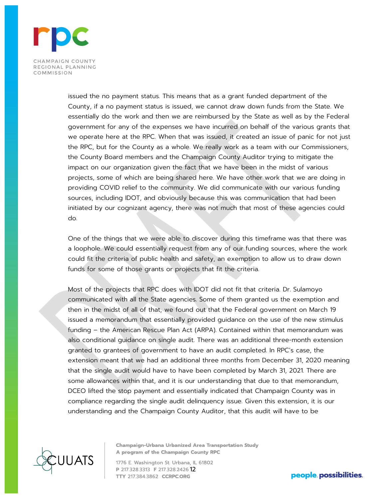

issued the no payment status. This means that as a grant funded department of the County, if a no payment status is issued, we cannot draw down funds from the State. We essentially do the work and then we are reimbursed by the State as well as by the Federal government for any of the expenses we have incurred on behalf of the various grants that we operate here at the RPC. When that was issued, it created an issue of panic for not just the RPC, but for the County as a whole. We really work as a team with our Commissioners, the County Board members and the Champaign County Auditor trying to mitigate the impact on our organization given the fact that we have been in the midst of various projects, some of which are being shared here. We have other work that we are doing in providing COVID relief to the community. We did communicate with our various funding sources, including IDOT, and obviously because this was communication that had been initiated by our cognizant agency, there was not much that most of these agencies could do.

One of the things that we were able to discover during this timeframe was that there was a loophole. We could essentially request from any of our funding sources, where the work could fit the criteria of public health and safety, an exemption to allow us to draw down funds for some of those grants or projects that fit the criteria.

Most of the projects that RPC does with IDOT did not fit that criteria. Dr. Sulamoyo communicated with all the State agencies. Some of them granted us the exemption and then in the midst of all of that, we found out that the Federal government on March 19 issued a memorandum that essentially provided guidance on the use of the new stimulus funding – the American Rescue Plan Act (ARPA). Contained within that memorandum was also conditional guidance on single audit. There was an additional three-month extension granted to grantees of government to have an audit completed. In RPC's case, the extension meant that we had an additional three months from December 31, 2020 meaning that the single audit would have to have been completed by March 31, 2021. There are some allowances within that, and it is our understanding that due to that memorandum, DCEO lifted the stop payment and essentially indicated that Champaign County was in compliance regarding the single audit delinquency issue. Given this extension, it is our understanding and the Champaign County Auditor, that this audit will have to be



**Champaign-Urbana Urbanized Area Transportation Study** A program of the Champaign County RPC

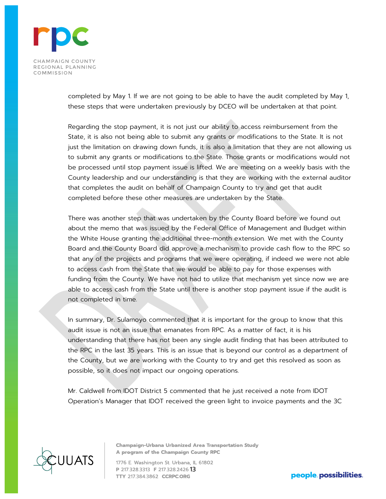

completed by May 1. If we are not going to be able to have the audit completed by May 1, these steps that were undertaken previously by DCEO will be undertaken at that point.

Regarding the stop payment, it is not just our ability to access reimbursement from the State, it is also not being able to submit any grants or modifications to the State. It is not just the limitation on drawing down funds, it is also a limitation that they are not allowing us to submit any grants or modifications to the State. Those grants or modifications would not be processed until stop payment issue is lifted. We are meeting on a weekly basis with the County leadership and our understanding is that they are working with the external auditor that completes the audit on behalf of Champaign County to try and get that audit completed before these other measures are undertaken by the State.

There was another step that was undertaken by the County Board before we found out about the memo that was issued by the Federal Office of Management and Budget within the White House granting the additional three-month extension. We met with the County Board and the County Board did approve a mechanism to provide cash flow to the RPC so that any of the projects and programs that we were operating, if indeed we were not able to access cash from the State that we would be able to pay for those expenses with funding from the County. We have not had to utilize that mechanism yet since now we are able to access cash from the State until there is another stop payment issue if the audit is not completed in time.

In summary, Dr. Sulamoyo commented that it is important for the group to know that this audit issue is not an issue that emanates from RPC. As a matter of fact, it is his understanding that there has not been any single audit finding that has been attributed to the RPC in the last 35 years. This is an issue that is beyond our control as a department of the County, but we are working with the County to try and get this resolved as soon as possible, so it does not impact our ongoing operations.

Mr. Caldwell from IDOT District 5 commented that he just received a note from IDOT Operation's Manager that IDOT received the green light to invoice payments and the 3C



**Champaign-Urbana Urbanized Area Transportation Study** A program of the Champaign County RPC

1776 E. Washington St. Urbana, IL 61802 P 217.328.3313 F 217.328.2426 13

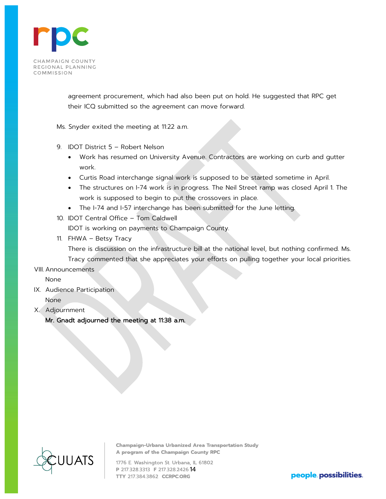

agreement procurement, which had also been put on hold. He suggested that RPC get their ICQ submitted so the agreement can move forward.

Ms. Snyder exited the meeting at 11:22 a.m.

- 9. IDOT District 5 Robert Nelson
	- Work has resumed on University Avenue. Contractors are working on curb and gutter work.
	- Curtis Road interchange signal work is supposed to be started sometime in April.
	- The structures on I-74 work is in progress. The Neil Street ramp was closed April 1. The work is supposed to begin to put the crossovers in place.
	- The I-74 and I-57 interchange has been submitted for the June letting.
- 10. IDOT Central Office Tom Caldwell

IDOT is working on payments to Champaign County.

11. FHWA – Betsy Tracy

There is discussion on the infrastructure bill at the national level, but nothing confirmed. Ms.

Tracy commented that she appreciates your efforts on pulling together your local priorities. VIII. Announcements

None

- IX. Audience Participation None
- X. Adjournment

Mr. Gnadt adjourned the meeting at 11:38 a.m.



**Champaign-Urbana Urbanized Area Transportation Study** A program of the Champaign County RPC

1776 E. Washington St. Urbana, IL 61802 P 217.328.3313 F 217.328.2426 14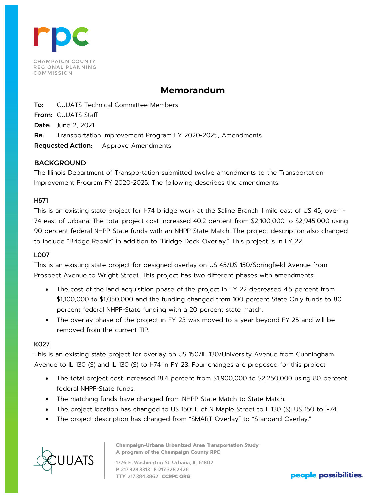

# **Memorandum**

To: CUUATS Technical Committee Members From: CUUATS Staff Date: June 2, 2021 Re: Transportation Improvement Program FY 2020-2025, Amendments Requested Action: Approve Amendments

# BACKGROUND

The Illinois Department of Transportation submitted twelve amendments to the Transportation Improvement Program FY 2020-2025. The following describes the amendments:

## H671

This is an existing state project for I-74 bridge work at the Saline Branch 1 mile east of US 45, over I-74 east of Urbana. The total project cost increased 40.2 percent from \$2,100,000 to \$2,945,000 using 90 percent federal NHPP-State funds with an NHPP-State Match. The project description also changed to include "Bridge Repair" in addition to "Bridge Deck Overlay." This project is in FY 22.

### L007

This is an existing state project for designed overlay on US 45/US 150/Springfield Avenue from Prospect Avenue to Wright Street. This project has two different phases with amendments:

- The cost of the land acquisition phase of the project in FY 22 decreased 4.5 percent from \$1,100,000 to \$1,050,000 and the funding changed from 100 percent State Only funds to 80 percent federal NHPP-State funding with a 20 percent state match.
- The overlay phase of the project in FY 23 was moved to a year beyond FY 25 and will be removed from the current TIP.

# K027

This is an existing state project for overlay on US 150/IL 130/University Avenue from Cunningham Avenue to IL 130 (S) and IL 130 (S) to I-74 in FY 23. Four changes are proposed for this project:

- The total project cost increased 18.4 percent from \$1,900,000 to \$2,250,000 using 80 percent federal NHPP-State funds.
- The matching funds have changed from NHPP-State Match to State Match.
- The project location has changed to US 150: E of N Maple Street to II 130 (S): US 150 to I-74.
- The project description has changed from "SMART Overlay" to "Standard Overlay."



**Champaign-Urbana Urbanized Area Transportation Study** A program of the Champaign County RPC

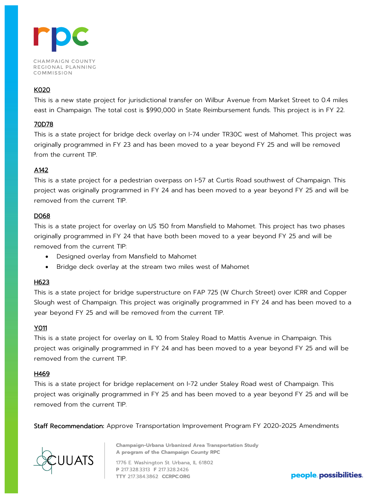

# K020

This is a new state project for jurisdictional transfer on Wilbur Avenue from Market Street to 0.4 miles east in Champaign. The total cost is \$990,000 in State Reimbursement funds. This project is in FY 22.

# 70D78

This is a state project for bridge deck overlay on I-74 under TR30C west of Mahomet. This project was originally programmed in FY 23 and has been moved to a year beyond FY 25 and will be removed from the current TIP.

# A142

This is a state project for a pedestrian overpass on I-57 at Curtis Road southwest of Champaign. This project was originally programmed in FY 24 and has been moved to a year beyond FY 25 and will be removed from the current TIP.

# D068

This is a state project for overlay on US 150 from Mansfield to Mahomet. This project has two phases originally programmed in FY 24 that have both been moved to a year beyond FY 25 and will be removed from the current TIP:

- Designed overlay from Mansfield to Mahomet
- Bridge deck overlay at the stream two miles west of Mahomet

# H623

This is a state project for bridge superstructure on FAP 725 (W Church Street) over ICRR and Copper Slough west of Champaign. This project was originally programmed in FY 24 and has been moved to a year beyond FY 25 and will be removed from the current TIP.

# Y011

This is a state project for overlay on IL 10 from Staley Road to Mattis Avenue in Champaign. This project was originally programmed in FY 24 and has been moved to a year beyond FY 25 and will be removed from the current TIP.

# H469

This is a state project for bridge replacement on I-72 under Staley Road west of Champaign. This project was originally programmed in FY 25 and has been moved to a year beyond FY 25 and will be removed from the current TIP.

Staff Recommendation: Approve Transportation Improvement Program FY 2020-2025 Amendments



**Champaign-Urbana Urbanized Area Transportation Study** A program of the Champaign County RPC

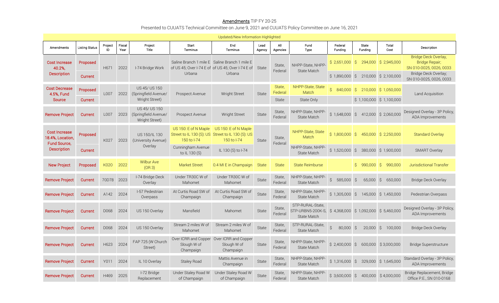### **Amendments** TIP FY 20-25 Presented to CUUATS Technical Committee on June 9, 2021 and CUUATS Policy Committee on June 16, 2021

| Updated/New Information Highlighted                             |                       |               |                |                                                         |                                     |                                                                                                    |                |                   |                                                                                          |                                |                                      |                         |                                                                   |
|-----------------------------------------------------------------|-----------------------|---------------|----------------|---------------------------------------------------------|-------------------------------------|----------------------------------------------------------------------------------------------------|----------------|-------------------|------------------------------------------------------------------------------------------|--------------------------------|--------------------------------------|-------------------------|-------------------------------------------------------------------|
| Amendments                                                      | <b>Listing Status</b> | Project<br>ID | Fiscal<br>Year | Project<br>Title                                        | Start<br>Terminus                   | End<br>Terminus                                                                                    | Lead<br>Agency | All<br>Agencies   | Fund<br><b>Type</b>                                                                      | Federal<br>Funding             | State<br>Funding                     | Total<br>Cost           | Description                                                       |
| <b>Cost Increase</b><br>40.2%,                                  | Proposed              | H671          | 2022           | I-74 Bridge Work                                        |                                     | Saline Branch 1 mile E Saline Branch 1 mile E<br>of US 45; Over I-74 E of of US 45; Over I-74 E of | State          | State,<br>Federal | NHPP-State, NHPP<br><b>State Match</b>                                                   | \$2,651,000                    | S.                                   | 294,000 \$ 2,945,000    | Bridge Deck Overlay,<br>Bridge Repair;<br>SN 010-0025, 0026, 0033 |
| <b>Description</b>                                              | Current               |               |                |                                                         | Urbana                              | Urbana                                                                                             |                |                   |                                                                                          | $$1,890,000$ \$                |                                      | 210,000 \$ 2,100,000    | Bridge Deck Overlay;<br>SN 010-0025, 0026, 0033                   |
| <b>Cost Decrease</b><br>4.5%, Fund                              | Proposed              | L007          | 2022           | US 45/ US 150<br>(Springfield Avenue/                   | Prospect Avenue                     | Wright Street                                                                                      | <b>State</b>   | State,<br>Federal | NHPP-State, State<br>Match                                                               | $\hat{S}$<br>$840,000$ \$      |                                      | 210,000 \$ 1,050,000    | Land Acquisition                                                  |
| Source                                                          | Current               |               |                | Wright Street)                                          |                                     |                                                                                                    |                | State             | State Only                                                                               |                                |                                      | \$1,100,000 \$1,100,000 |                                                                   |
| <b>Remove Project</b>                                           | Current               | L007          | 2023           | US 45/ US 150<br>(Springfield Avenue/<br>Wright Street) | Prospect Avenue                     | Wright Street                                                                                      | State          | State,<br>Federal | NHPP-State, NHPP-<br><b>State Match</b>                                                  | \$1,648,000                    | $\hat{\mathcal{S}}$                  | 412,000 \$ 2,060,000    | Designed Overlay - 3P Policy<br>ADA Improvements                  |
| <b>Cost Increase</b><br>18.4%, Location,<br><b>Fund Source.</b> | Proposed              | K027          | 2023           | US 150/IL 130<br>(University Avenue)                    | US 150: E of N Maple<br>150 to I-74 | US 150: E of N Maple<br>Street to IL 130 (S): US Street to IL 130 (S): US<br>150 to I-74           | <b>State</b>   | State,<br>Federal | NHPP-State, State<br>Match                                                               | \$1,800,000                    | S.                                   | 450,000 \$ 2,250,000    | <b>Standard Overlay</b>                                           |
| Description                                                     | Current               |               |                | Overlay                                                 | Cunningham Avenue<br>to IL 130 (S)  | IL 130 (S) to I-74                                                                                 |                |                   | NHPP-State, NHPP-<br>State Match                                                         |                                | $$1,520,000$ $$380,000$ $$1,900,000$ |                         | <b>SMART Overlay</b>                                              |
| <b>New Project</b>                                              | Proposed              | K020          | 2022           | <b>Wilbur Ave</b><br>(OR3)                              | <b>Market Street</b>                | 0.4 MI E in Champaign                                                                              | <b>State</b>   | <b>State</b>      | <b>State Reimburse</b>                                                                   |                                | \$990,000                            | S.<br>990,000           | Jurisdictional Transfer                                           |
| <b>Remove Project</b>                                           | Current               | 70D78         | 2023           | I-74 Bridge Deck<br>Overlay                             | Under TR30C W of<br>Mahomet         | Under TR30C W of<br>Mahomet                                                                        | State          | State,<br>Federal | NHPP-State, NHPP-<br><b>State Match</b>                                                  | $\hat{\mathcal{S}}$<br>585,000 | \$<br>65,000                         | $\zeta$<br>650,000      | <b>Bridge Deck Overlay</b>                                        |
| <b>Remove Project</b>                                           | Current               | A142          | 2024           | I-57 Pedestrian<br>Overpass                             | At Curtis Road SW of<br>Champaign   | At Curtis Road SW of<br>Champaign                                                                  | State          | State,<br>Federal | NHPP-State, NHPP-<br><b>State Match</b>                                                  | $$1,305,000$ \$                |                                      | 145,000 \$ 1,450,000    | Pedestrian Overpass                                               |
| <b>Remove Project</b>                                           | Current               | D068          | 2024           | US 150 Overlay                                          | Mansfield                           | Mahomet                                                                                            | <b>State</b>   |                   | STP-RURAL-State,<br>STP-URBN5-200K-S, \$4,368,000 \$1,092,000 \$5,460,000<br>State Match |                                |                                      |                         | Designed Overlay - 3P Policy<br>ADA Improvements                  |
| <b>Remove Project</b>                                           | Current               | D068          | 2024           | US 150 Overlay                                          | Stream 2 miles W of<br>Mahomet      | Stream 2 miles W of<br>Mahomet                                                                     | <b>State</b>   | State,<br>Federal | STP-RURAL-State,<br>State Match                                                          | $\mathcal{S}$<br>80,000 \$     | $20,000$ \$                          | 100,000                 | <b>Bridge Deck Overlay</b>                                        |
| <b>Remove Project</b>                                           | Current               | H623          | 2024           | FAP 725 (W Church<br>Street)                            | Slough W of<br>Champaign            | Over ICRR and Copper Over ICRR and Copper<br>Slough W of<br>Champaign                              | State          | State,<br>Federal | NHPP-State, NHPP-<br>State Match                                                         | \$2,400,000                    | Ŝ.<br>600,000                        | \$3,000,000             | <b>Bridge Superstructure</b>                                      |
| <b>Remove Project</b>                                           | Current               | Y011          | 2024           | IL 10 Overlay                                           | <b>Staley Road</b>                  | Mattis Avenue in<br>Champaign                                                                      | State          | State,<br>Federal | NHPP-State, NHPP-<br>State Match                                                         |                                | $$1,316,000$ $$329,000$ $$1,645,000$ |                         | Standard Overlay - 3P Policy,<br>ADA Improvements                 |
| <b>Remove Project</b>                                           | Current               | H469          | 2025           | I-72 Bridge<br>Replacement                              | Under Staley Road W<br>of Champaign | Under Staley Road W<br>of Champaign                                                                | State          | State,<br>Federal | NHPP-State, NHPP-<br>State Match                                                         | $$3,600,000$ \$                |                                      | 400,000 \$4,000,000     | Bridge Replacement, Bridge<br>Office P.E., SN 010-0168            |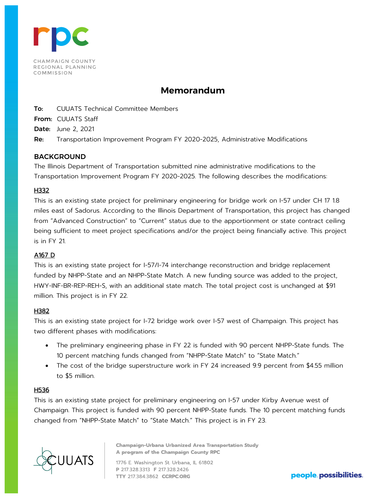

# **Memorandum**

To: CUUATS Technical Committee Members

From: CUUATS Staff

Date: June 2, 2021

Re: Transportation Improvement Program FY 2020-2025, Administrative Modifications

# BACKGROUND

The Illinois Department of Transportation submitted nine administrative modifications to the Transportation Improvement Program FY 2020-2025. The following describes the modifications:

# H332

This is an existing state project for preliminary engineering for bridge work on I-57 under CH 17 1.8 miles east of Sadorus. According to the Illinois Department of Transportation, this project has changed from "Advanced Construction" to "Current" status due to the apportionment or state contract ceiling being sufficient to meet project specifications and/or the project being financially active. This project is in FY 21.

# A167 D

This is an existing state project for I-57/I-74 interchange reconstruction and bridge replacement funded by NHPP-State and an NHPP-State Match. A new funding source was added to the project, HWY-INF-BR-REP-REH-S, with an additional state match. The total project cost is unchanged at \$91 million. This project is in FY 22.

# H382

This is an existing state project for I-72 bridge work over I-57 west of Champaign. This project has two different phases with modifications:

- The preliminary engineering phase in FY 22 is funded with 90 percent NHPP-State funds. The 10 percent matching funds changed from "NHPP-State Match" to "State Match."
- The cost of the bridge superstructure work in FY 24 increased 9.9 percent from \$4.55 million to \$5 million.

#### H536

This is an existing state project for preliminary engineering on I-57 under Kirby Avenue west of Champaign. This project is funded with 90 percent NHPP-State funds. The 10 percent matching funds changed from "NHPP-State Match" to "State Match." This project is in FY 23.



**Champaign-Urbana Urbanized Area Transportation Study** A program of the Champaign County RPC

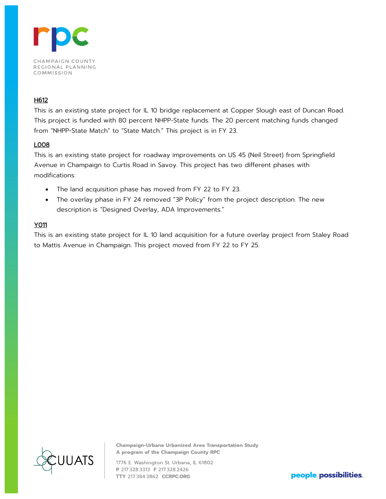

# H612

This is an existing state project for IL 10 bridge replacement at Copper Slough east of Duncan Road. This project is funded with 80 percent NHPP-State funds. The 20 percent matching funds changed from "NHPP-State Match" to "State Match." This project is in FY 23.

# L008

This is an existing state project for roadway improvements on US 45 (Neil Street) from Springfield Avenue in Champaign to Curtis Road in Savoy. This project has two different phases with modifications:

- The land acquisition phase has moved from FY 22 to FY 23.
- The overlay phase in FY 24 removed "3P Policy" from the project description. The new description is "Designed Overlay, ADA Improvements."

# Y011

This is an existing state project for IL 10 land acquisition for a future overlay project from Staley Road to Mattis Avenue in Champaign. This project moved from FY 22 to FY 25.



**Champaign-Urbana Urbanized Area Transportation Study** A program of the Champaign County RPC

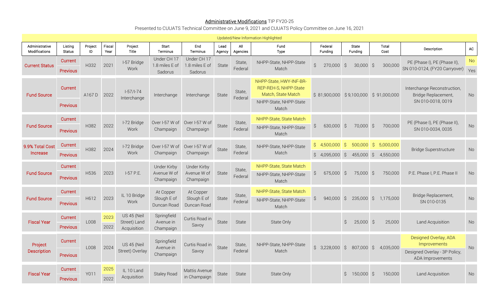## **Administrative Modifications** TIP FY20-25

Presented to CUUATS Technical Committee on June 9, 2021 and CUUATS Policy Committee on June 16, 2021

| Updated/New Information Highlighted |                            |               |                |                                            |                                                |                                          |                |                   |                                                                                                           |                                    |                                        |                                         |                                                                                            |                  |
|-------------------------------------|----------------------------|---------------|----------------|--------------------------------------------|------------------------------------------------|------------------------------------------|----------------|-------------------|-----------------------------------------------------------------------------------------------------------|------------------------------------|----------------------------------------|-----------------------------------------|--------------------------------------------------------------------------------------------|------------------|
| Administrative<br>Modifications     | Listing<br><b>Status</b>   | Project<br>ID | Fiscal<br>Year | Project<br>Title                           | Start<br>Terminus                              | End<br>Terminus                          | Lead<br>Agency | All<br>Agencies   | Fund<br>Type                                                                                              | Federal<br>Funding                 | State<br>Fundina                       | Total<br>Cost                           | Description                                                                                | AC               |
| <b>Current Status</b>               | Current<br>Previous        | H332          | 2021           | I-57 Bridge<br>Work                        | Under CH 17<br>1.8 miles E of<br>Sadorus       | Under CH 17<br>1.8 miles E of<br>Sadorus | State          | State,<br>Federal | NHPP-State, NHPP-State<br>Match                                                                           | $\hat{S}$<br>270,000 \$            | $30,000$ \$                            | 300,000                                 | PE (Phase I), PE (Phase II),<br>SN 010-0124, (FY20 Carryover)                              | <b>No</b><br>Yes |
| <b>Fund Source</b>                  | Current<br>Previous        | A167 D        | 2022           | $1-57/1-74$<br>Interchange                 | Interchange                                    | Interchange                              | State          | State,<br>Federal | NHPP-State, HWY-INF-BR-<br>REP-REH-S, NHPP-State<br>Match, State Match<br>NHPP-State, NHPP-State<br>Match | \$81,900,000                       |                                        | \$9,100,000 \$91,000,000                | Interchange Reconstruction,<br>Bridge Replacement,<br>SN 010-0018, 0019                    | No               |
| <b>Fund Source</b>                  | Current<br><b>Previous</b> | H382          | 2022           | I-72 Bridge<br>Work                        | Over I-57 W of<br>Champaign                    | Over I-57 W of<br>Champaign              | State          | State,<br>Federal | NHPP-State, State Match<br>NHPP-State, NHPP-State<br>Match                                                | 630,000<br>$\hat{\mathcal{S}}$     | $\zeta$<br>70,000                      | $\zeta$<br>700,000                      | PE (Phase I), PE (Phase II),<br>SN 010-0034, 0035                                          | No               |
| 9.9% Total Cost<br>Increase         | Current<br>Previous        | H382          | 2024           | I-72 Bridge<br>Work                        | Over I-57 W of<br>Champaign                    | Over I-57 W of<br>Champaign              | State          | State,<br>Federal | NHPP-State, NHPP-State<br>Match                                                                           | \$<br>4,500,000<br>$$4,095,000$ \$ | $\mathcal{S}$<br>500,000<br>455,000 \$ | $\mathcal{S}$<br>5,000,000<br>4,550,000 | <b>Bridge Superstructure</b>                                                               | No               |
| <b>Fund Source</b>                  | Current<br>Previous        | H536          | 2023           | I-57 P.E.                                  | <b>Under Kirby</b><br>Avenue W of<br>Champaign | Under Kirby<br>Avenue W of<br>Champaign  | State          | State,<br>Federal | NHPP-State, State Match<br>NHPP-State, NHPP-State<br>Match                                                | $\hat{S}$<br>675,000               | S,<br>75,000                           | S,<br>750,000                           | P.E. Phase I, P.E. Phase II                                                                | No               |
| <b>Fund Source</b>                  | Current<br>Previous        | H612          | 2023           | IL 10 Bridge<br>Work                       | At Copper<br>Slough E of<br>Duncan Road        | At Copper<br>Slough E of<br>Duncan Road  | State          | State,<br>Federal | NHPP-State, State Match<br>NHPP-State, NHPP-State<br>Match                                                | \$<br>940,000                      | $\zeta$<br>235,000                     | $\mathcal{S}$<br>1,175,000              | Bridge Replacement,<br>SN 010-0135                                                         | <b>No</b>        |
| <b>Fiscal Year</b>                  | Current<br>Previous        | L008          | 2023<br>2022   | US 45 (Neil<br>Street) Land<br>Acquisition | Springfield<br>Avenue in<br>Champaign          | Curtis Road in<br>Savoy                  | State          | State             | State Only                                                                                                |                                    | $\hat{S}$<br>$25,000$ \$               | 25,000                                  | Land Acquisition                                                                           | <b>No</b>        |
| Project<br>Description              | Current<br>Previous        | L008          | 2024           | US 45 (Neil<br>Street) Overlay             | Springfield<br>Avenue in<br>Champaign          | Curtis Road in<br>Savoy                  | State          | State,<br>Federal | NHPP-State, NHPP-State<br>Match                                                                           | $$3,228,000$ \$                    | 807,000 \$                             | 4,035,000                               | Designed Overlay, ADA<br>Improvements<br>Designed Overlay - 3P Policy,<br>ADA Improvements | <b>No</b>        |
| <b>Fiscal Year</b>                  | Current<br><b>Previous</b> | Y011          | 2025<br>2022   | IL 10 Land<br>Acquisition                  | <b>Stalev Road</b>                             | Mattis Avenue<br>in Champaign            | State          | State             | State Only                                                                                                |                                    | Ŝ.<br>150,000                          | - \$<br>150,000                         | Land Acquisition                                                                           | No               |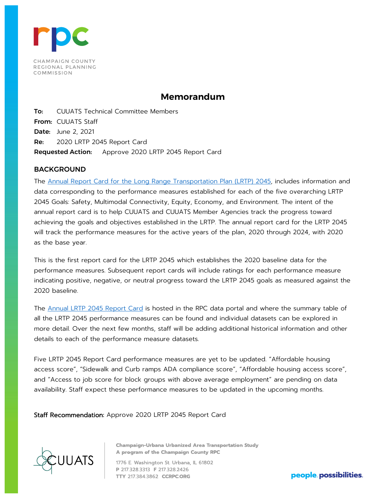

# **Memorandum**

To: CUUATS Technical Committee Members From: CUUATS Staff Date: June 2, 2021 Re: 2020 LRTP 2045 Report Card Requested Action: Approve 2020 LRTP 2045 Report Card

# BACKGROUND

The [Annual Report Card for the Long Range Transportation Plan \(LRTP\) 2045,](https://data.ccrpc.org/pages/lrtp-2045-report-card) includes information and data corresponding to the performance measures established for each of the five overarching LRTP 2045 Goals: Safety, Multimodal Connectivity, Equity, Economy, and Environment. The intent of the annual report card is to help CUUATS and CUUATS Member Agencies track the progress toward achieving the goals and objectives established in the LRTP. The annual report card for the LRTP 2045 will track the performance measures for the active years of the plan, 2020 through 2024, with 2020 as the base year.

This is the first report card for the LRTP 2045 which establishes the 2020 baseline data for the performance measures. Subsequent report cards will include ratings for each performance measure indicating positive, negative, or neutral progress toward the LRTP 2045 goals as measured against the 2020 baseline.

The [Annual LRTP 2045 Report Card](https://data.ccrpc.org/pages/lrtp-2045-report-card) is hosted in the RPC data portal and where the summary table of all the LRTP 2045 performance measures can be found and individual datasets can be explored in more detail. Over the next few months, staff will be adding additional historical information and other details to each of the performance measure datasets.

Five LRTP 2045 Report Card performance measures are yet to be updated. "Affordable housing access score", "Sidewalk and Curb ramps ADA compliance score", "Affordable housing access score", and "Access to job score for block groups with above average employment" are pending on data availability. Staff expect these performance measures to be updated in the upcoming months.

Staff Recommendation: Approve 2020 LRTP 2045 Report Card



**Champaign-Urbana Urbanized Area Transportation Study** A program of the Champaign County RPC

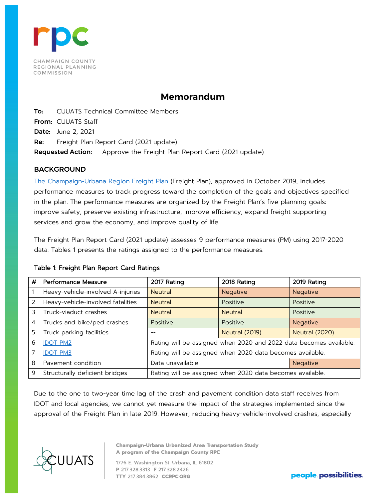

# **Memorandum**

To: CUUATS Technical Committee Members From: CUUATS Staff Date: June 2, 2021 Re: Freight Plan Report Card (2021 update) Requested Action: Approve the Freight Plan Report Card (2021 update)

# BACKGROUND

[The Champaign-Urbana Region Freight Plan](https://ccrpc.org/documents/champaign-urbana-region-freight-plan-2/) (Freight Plan), approved in October 2019, includes performance measures to track progress toward the completion of the goals and objectives specified in the plan. The performance measures are organized by the Freight Plan's five planning goals: improve safety, preserve existing infrastructure, improve efficiency, expand freight supporting services and grow the economy, and improve quality of life.

The Freight Plan Report Card (2021 update) assesses 9 performance measures (PM) using 2017-2020 data. Tables 1 presents the ratings assigned to the performance measures.

# Table 1: Freight Plan Report Card Ratings

| # | <b>Performance Measure</b>        | 2017 Rating                                                        | 2018 Rating                                               | 2019 Rating           |  |  |  |  |
|---|-----------------------------------|--------------------------------------------------------------------|-----------------------------------------------------------|-----------------------|--|--|--|--|
|   | Heavy-vehicle-involved A-injuries | <b>Neutral</b>                                                     | <b>Negative</b>                                           |                       |  |  |  |  |
| 2 | Heavy-vehicle-involved fatalities | <b>Neutral</b>                                                     | Positive                                                  | Positive              |  |  |  |  |
| 3 | Truck-viaduct crashes             | <b>Neutral</b>                                                     | <b>Neutral</b>                                            | Positive              |  |  |  |  |
| 4 | Trucks and bike/ped crashes       | Positive                                                           | Positive                                                  |                       |  |  |  |  |
| 5 | Truck parking facilities          |                                                                    | <b>Neutral (2019)</b>                                     | <b>Neutral (2020)</b> |  |  |  |  |
| 6 | <b>IDOT PM2</b>                   | Rating will be assigned when 2020 and 2022 data becomes available. |                                                           |                       |  |  |  |  |
| 7 | <b>IDOT PM3</b>                   | Rating will be assigned when 2020 data becomes available.          |                                                           |                       |  |  |  |  |
| 8 | Pavement condition                | Data unavailable<br>Negative                                       |                                                           |                       |  |  |  |  |
| 9 | Structurally deficient bridges    |                                                                    | Rating will be assigned when 2020 data becomes available. |                       |  |  |  |  |

Due to the one to two-year time lag of the crash and pavement condition data staff receives from IDOT and local agencies, we cannot yet measure the impact of the strategies implemented since the approval of the Freight Plan in late 2019. However, reducing heavy-vehicle-involved crashes, especially



**Champaign-Urbana Urbanized Area Transportation Study** A program of the Champaign County RPC